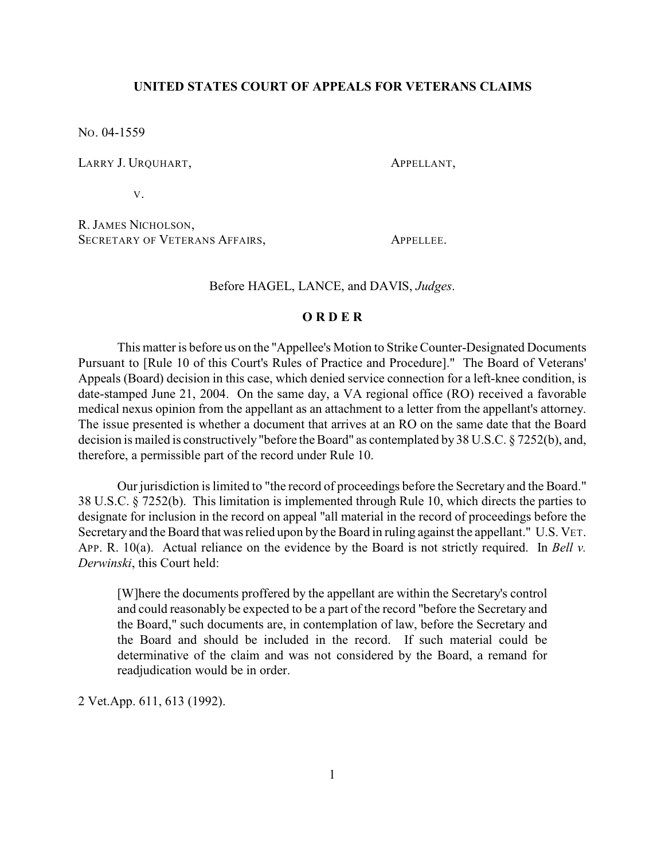## **UNITED STATES COURT OF APPEALS FOR VETERANS CLAIMS**

NO. 04-1559

LARRY J. URQUHART, APPELLANT,

V.

R. JAMES NICHOLSON, SECRETARY OF VETERANS AFFAIRS. APPELLEE.

Before HAGEL, LANCE, and DAVIS, *Judges*.

## **O R D E R**

This matter is before us on the "Appellee's Motion to Strike Counter-Designated Documents Pursuant to [Rule 10 of this Court's Rules of Practice and Procedure]." The Board of Veterans' Appeals (Board) decision in this case, which denied service connection for a left-knee condition, is date-stamped June 21, 2004. On the same day, a VA regional office (RO) received a favorable medical nexus opinion from the appellant as an attachment to a letter from the appellant's attorney. The issue presented is whether a document that arrives at an RO on the same date that the Board decision is mailed is constructively"before the Board" as contemplated by 38 U.S.C. § 7252(b), and, therefore, a permissible part of the record under Rule 10.

Our jurisdiction is limited to "the record of proceedings before the Secretary and the Board." 38 U.S.C. § 7252(b). This limitation is implemented through Rule 10, which directs the parties to designate for inclusion in the record on appeal "all material in the record of proceedings before the Secretary and the Board that was relied upon by the Board in ruling against the appellant." U.S. VET. APP. R. 10(a). Actual reliance on the evidence by the Board is not strictly required. In *Bell v. Derwinski*, this Court held:

[W]here the documents proffered by the appellant are within the Secretary's control and could reasonably be expected to be a part of the record "before the Secretary and the Board," such documents are, in contemplation of law, before the Secretary and the Board and should be included in the record. If such material could be determinative of the claim and was not considered by the Board, a remand for readjudication would be in order.

2 Vet.App. 611, 613 (1992).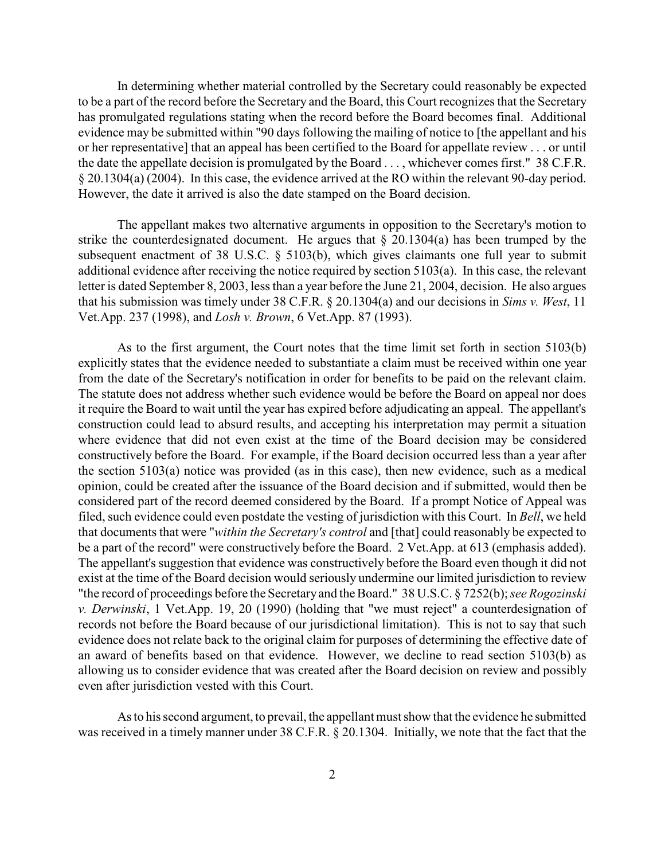In determining whether material controlled by the Secretary could reasonably be expected to be a part of the record before the Secretary and the Board, this Court recognizes that the Secretary has promulgated regulations stating when the record before the Board becomes final. Additional evidence may be submitted within "90 days following the mailing of notice to [the appellant and his or her representative] that an appeal has been certified to the Board for appellate review . . . or until the date the appellate decision is promulgated by the Board . . . , whichever comes first." 38 C.F.R. § 20.1304(a) (2004). In this case, the evidence arrived at the RO within the relevant 90-day period. However, the date it arrived is also the date stamped on the Board decision.

The appellant makes two alternative arguments in opposition to the Secretary's motion to strike the counterdesignated document. He argues that  $\S$  20.1304(a) has been trumped by the subsequent enactment of 38 U.S.C. § 5103(b), which gives claimants one full year to submit additional evidence after receiving the notice required by section 5103(a). In this case, the relevant letter is dated September 8, 2003, less than a year before the June 21, 2004, decision. He also argues that his submission was timely under 38 C.F.R. § 20.1304(a) and our decisions in *Sims v. West*, 11 Vet.App. 237 (1998), and *Losh v. Brown*, 6 Vet.App. 87 (1993).

As to the first argument, the Court notes that the time limit set forth in section 5103(b) explicitly states that the evidence needed to substantiate a claim must be received within one year from the date of the Secretary's notification in order for benefits to be paid on the relevant claim. The statute does not address whether such evidence would be before the Board on appeal nor does it require the Board to wait until the year has expired before adjudicating an appeal. The appellant's construction could lead to absurd results, and accepting his interpretation may permit a situation where evidence that did not even exist at the time of the Board decision may be considered constructively before the Board. For example, if the Board decision occurred less than a year after the section 5103(a) notice was provided (as in this case), then new evidence, such as a medical opinion, could be created after the issuance of the Board decision and if submitted, would then be considered part of the record deemed considered by the Board. If a prompt Notice of Appeal was filed, such evidence could even postdate the vesting of jurisdiction with this Court. In *Bell*, we held that documents that were "*within the Secretary's control* and [that] could reasonably be expected to be a part of the record" were constructively before the Board. 2 Vet.App. at 613 (emphasis added). The appellant's suggestion that evidence was constructively before the Board even though it did not exist at the time of the Board decision would seriously undermine our limited jurisdiction to review "the record of proceedings before the Secretaryand theBoard." 38 U.S.C. § 7252(b); *see Rogozinski v. Derwinski*, 1 Vet.App. 19, 20 (1990) (holding that "we must reject" a counterdesignation of records not before the Board because of our jurisdictional limitation). This is not to say that such evidence does not relate back to the original claim for purposes of determining the effective date of an award of benefits based on that evidence. However, we decline to read section 5103(b) as allowing us to consider evidence that was created after the Board decision on review and possibly even after jurisdiction vested with this Court.

As to his second argument, to prevail, the appellant must show that the evidence he submitted was received in a timely manner under 38 C.F.R. § 20.1304. Initially, we note that the fact that the